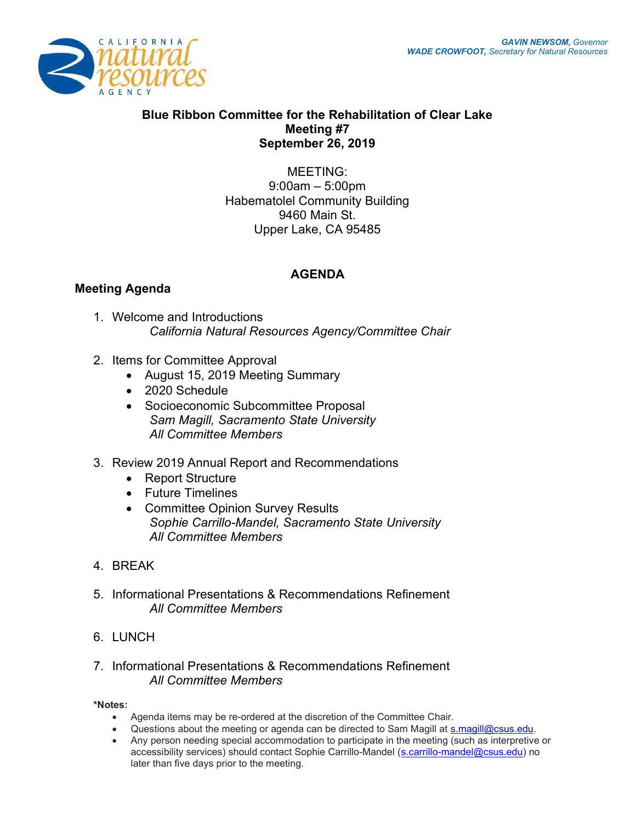

## Blue Ribbon Committee for the Rehabilitation of Clear Lake Meeting #7 September 26, 2019

MEETING: 9:00am – 5:00pm Habematolel Community Building 9460 Main St. Upper Lake, CA 95485

## Meeting Agenda

## AGENDA

- 1. Welcome and Introductions California Natural Resources Agency/Committee Chair
- 2. Items for Committee Approval
	- August 15, 2019 Meeting Summary
	- 2020 Schedule
	- Socioeconomic Subcommittee Proposal Sam Magill, Sacramento State University All Committee Members
- 3. Review 2019 Annual Report and Recommendations
	- Report Structure
	- Future Timelines
	- Committee Opinion Survey Results Sophie Carrillo-Mandel, Sacramento State University All Committee Members
- 4. BREAK
- 5. Informational Presentations & Recommendations Refinement All Committee Members
- 6. LUNCH

## 7. Informational Presentations & Recommendations Refinement All Committee Members

\*Notes:

- Agenda items may be re-ordered at the discretion of the Committee Chair.
- . Questions about the meeting or agenda can be directed to Sam Magill at s.magill@csus.edu.
- Any person needing special accommodation to participate in the meeting (such as interpretive or accessibility services) should contact Sophie Carrillo-Mandel (s.carrillo-mandel@csus.edu) no later than five days prior to the meeting.